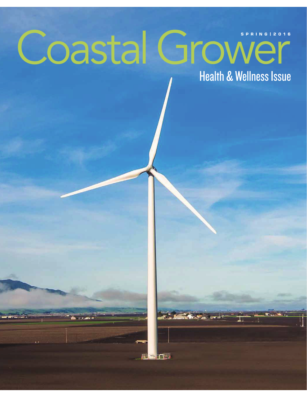## Coastal Grower **SPRING | 2016 Health & Wellness Issue**

**FIN**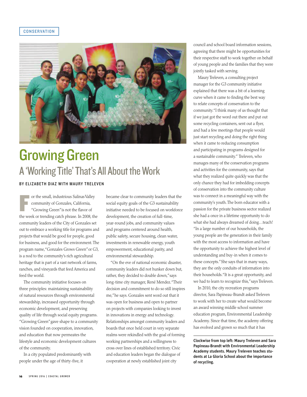## CONSERVATION



## Growing Green A 'Working Title' That's All About the Work BY ELIZABETH DIAZ WITH MAURY TRELEVEN

F or the small, industrious Salinas Valley community of Gonzales, California, "Growing Green" is not the flavor of the week or trending catch phrase. In 2008, the community leaders of the City of Gonzales set out to embrace a working title for programs and projects that would be good for people, good for business, and good for the environment. The program name, "Gonzales Grows Green" or G3, is a nod to the community's rich agricultural heritage that is part of a vast network of farms, ranches, and vineyards that feed America and feed the world.

The community initiative focuses on three principles: maintaining sustainability of natural resources through environmental stewardship, increased opportunity through economic development, and preserving quality of life through social equity programs. "Growing Green" gave shape to a community vision founded on cooperation, innovation, and education that now permeates the lifestyle and economic development cultures of the community.

In a city populated predominantly with people under the age of thirty-five, it

became clear to community leaders that the social equity goals of the G3 sustainability initiative needed to be focused on workforce development, the creation of full-time, year-round jobs, and community values and programs centered around health, public safety, secure housing, clean water, investments in renewable energy, youth empowerment, educational parity, and environmental stewardship.

"On the eve of national economic disaster, community leaders did not hunker down but, rather, they decided to double down," says long-time city manager, René Mendez. "Their decision and commitment to do so still inspires me," he says. Gonzales sent word out that it was open for business and open to partner on projects with companies looking to invest in innovations in energy and technology. Relationships amongst community leaders and boards that once held court in very separate realms were rekindled with the goal of forming working partnerships and a willingness to cross over lines of established territory. Civic and education leaders began the dialogue of cooperation at newly established joint city

council and school board information sessions, agreeing that there might be opportunities for their respective staff to work together on behalf of young people and the families that they were jointly tasked with serving.

Maury Treleven, a consulting project manager for the G3 community initiative explained that there was a bit of a learning curve when it came to finding the best way to relate concepts of conservation to the community. "I think many of us thought that if we just got the word out there and put out some recycling containers, sent out a flyer, and had a few meetings that people would just start recycling and doing the right thing when it came to reducing consumption and participating in programs designed for a sustainable community." Treleven, who manages many of the conservation programs and activities for the community, says that what they realized quite quickly was that the only chance they had for imbedding concepts of conservation into the community culture was to connect in a meaningful way with the community's youth. The born educator with a passion for the private business sector realized she had a once in a lifetime opportunity to do what she had always dreamed of doing…teach! "In a large number of our households, the young people are the generation in their family with the most access to information and have the opportunity to achieve the highest level of understanding and buy-in when it comes to these concepts." She says that in many ways, they are the only conduits of information into their households. "It is a great opportunity, and we had to learn to recognize this," says Treleven.

In 2010, the city recreation programs director, Sara Papineau-Brandt asked Treleven to work with her to create what would become an award winning middle school summer education program, Environmental Leadership Academy. Since that time, the academy offering has evolved and grown so much that it has

Clockwise from top left: Maury Treleven and Sara Papineau-Brandt with Environmental Leadership Academy students. Maury Treleven teaches students at La Gloria School about the importance of recycling.